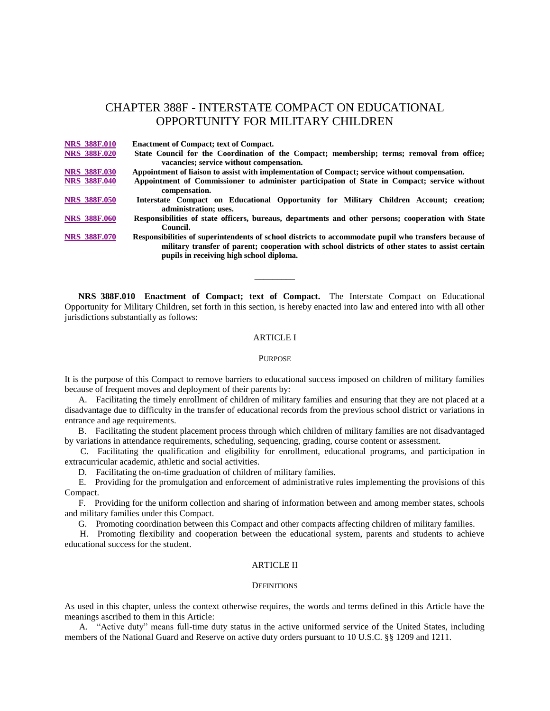# CHAPTER 388F - INTERSTATE COMPACT ON EDUCATIONAL OPPORTUNITY FOR MILITARY CHILDREN

**NRS [388F.010](http://www.leg.state.nv.us/Division/Legal/LawLibrary/NRS/NRS-388F.html#NRS388FSec010) Enactment of Compact; text of Compact. NRS [388F.020](http://www.leg.state.nv.us/Division/Legal/LawLibrary/NRS/NRS-388F.html#NRS388FSec020) State Council for the Coordination of the Compact; membership; terms; removal from office; vacancies; service without compensation. NRS [388F.030](http://www.leg.state.nv.us/Division/Legal/LawLibrary/NRS/NRS-388F.html#NRS388FSec030) Appointment of liaison to assist with implementation of Compact; service without compensation. NRS [388F.040](http://www.leg.state.nv.us/Division/Legal/LawLibrary/NRS/NRS-388F.html#NRS388FSec040) Appointment of Commissioner to administer participation of State in Compact; service without compensation. NRS [388F.050](http://www.leg.state.nv.us/Division/Legal/LawLibrary/NRS/NRS-388F.html#NRS388FSec050) Interstate Compact on Educational Opportunity for Military Children Account; creation; administration; uses. NRS [388F.060](http://www.leg.state.nv.us/Division/Legal/LawLibrary/NRS/NRS-388F.html#NRS388FSec060) Responsibilities of state officers, bureaus, departments and other persons; cooperation with State Council. NRS [388F.070](http://www.leg.state.nv.us/Division/Legal/LawLibrary/NRS/NRS-388F.html#NRS388FSec070) Responsibilities of superintendents of school districts to accommodate pupil who transfers because of military transfer of parent; cooperation with school districts of other states to assist certain pupils in receiving high school diploma.**

 **NRS 388F.010 Enactment of Compact; text of Compact.** The Interstate Compact on Educational Opportunity for Military Children, set forth in this section, is hereby enacted into law and entered into with all other jurisdictions substantially as follows:

\_\_\_\_\_\_\_\_\_

### ARTICLE I

#### **PURPOSE**

It is the purpose of this Compact to remove barriers to educational success imposed on children of military families because of frequent moves and deployment of their parents by:

 A. Facilitating the timely enrollment of children of military families and ensuring that they are not placed at a disadvantage due to difficulty in the transfer of educational records from the previous school district or variations in entrance and age requirements.

 B. Facilitating the student placement process through which children of military families are not disadvantaged by variations in attendance requirements, scheduling, sequencing, grading, course content or assessment.

 C. Facilitating the qualification and eligibility for enrollment, educational programs, and participation in extracurricular academic, athletic and social activities.

D. Facilitating the on-time graduation of children of military families.

 E. Providing for the promulgation and enforcement of administrative rules implementing the provisions of this Compact.

 F. Providing for the uniform collection and sharing of information between and among member states, schools and military families under this Compact.

G. Promoting coordination between this Compact and other compacts affecting children of military families.

 H. Promoting flexibility and cooperation between the educational system, parents and students to achieve educational success for the student.

# ARTICLE II

#### **DEFINITIONS**

As used in this chapter, unless the context otherwise requires, the words and terms defined in this Article have the meanings ascribed to them in this Article:

 A. "Active duty" means full-time duty status in the active uniformed service of the United States, including members of the National Guard and Reserve on active duty orders pursuant to 10 U.S.C. §§ 1209 and 1211.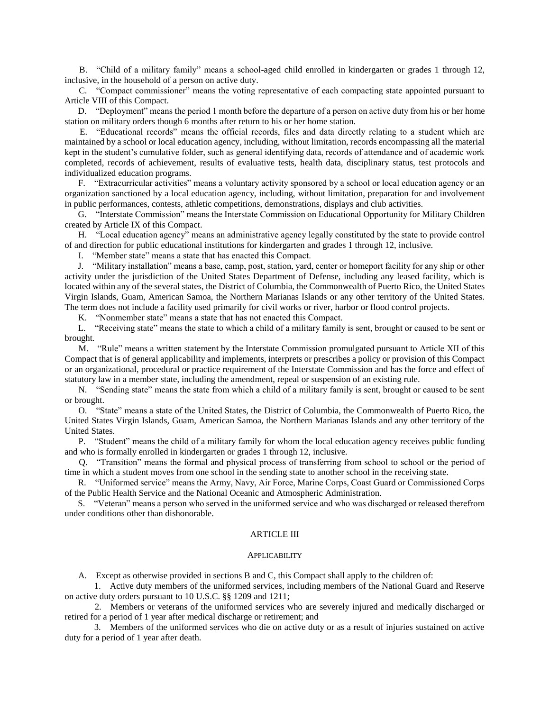B. "Child of a military family" means a school-aged child enrolled in kindergarten or grades 1 through 12, inclusive, in the household of a person on active duty.

 C. "Compact commissioner" means the voting representative of each compacting state appointed pursuant to Article VIII of this Compact.

 D. "Deployment" means the period 1 month before the departure of a person on active duty from his or her home station on military orders though 6 months after return to his or her home station.

 E. "Educational records" means the official records, files and data directly relating to a student which are maintained by a school or local education agency, including, without limitation, records encompassing all the material kept in the student's cumulative folder, such as general identifying data, records of attendance and of academic work completed, records of achievement, results of evaluative tests, health data, disciplinary status, test protocols and individualized education programs.

 F. "Extracurricular activities" means a voluntary activity sponsored by a school or local education agency or an organization sanctioned by a local education agency, including, without limitation, preparation for and involvement in public performances, contests, athletic competitions, demonstrations, displays and club activities.

 G. "Interstate Commission" means the Interstate Commission on Educational Opportunity for Military Children created by Article IX of this Compact.

 H. "Local education agency" means an administrative agency legally constituted by the state to provide control of and direction for public educational institutions for kindergarten and grades 1 through 12, inclusive.

I. "Member state" means a state that has enacted this Compact.

 J. "Military installation" means a base, camp, post, station, yard, center or homeport facility for any ship or other activity under the jurisdiction of the United States Department of Defense, including any leased facility, which is located within any of the several states, the District of Columbia, the Commonwealth of Puerto Rico, the United States Virgin Islands, Guam, American Samoa, the Northern Marianas Islands or any other territory of the United States. The term does not include a facility used primarily for civil works or river, harbor or flood control projects.

K. "Nonmember state" means a state that has not enacted this Compact.

 L. "Receiving state" means the state to which a child of a military family is sent, brought or caused to be sent or brought.

 M. "Rule" means a written statement by the Interstate Commission promulgated pursuant to Article XII of this Compact that is of general applicability and implements, interprets or prescribes a policy or provision of this Compact or an organizational, procedural or practice requirement of the Interstate Commission and has the force and effect of statutory law in a member state, including the amendment, repeal or suspension of an existing rule.

 N. "Sending state" means the state from which a child of a military family is sent, brought or caused to be sent or brought.

 O. "State" means a state of the United States, the District of Columbia, the Commonwealth of Puerto Rico, the United States Virgin Islands, Guam, American Samoa, the Northern Marianas Islands and any other territory of the United States.

 P. "Student" means the child of a military family for whom the local education agency receives public funding and who is formally enrolled in kindergarten or grades 1 through 12, inclusive.

 Q. "Transition" means the formal and physical process of transferring from school to school or the period of time in which a student moves from one school in the sending state to another school in the receiving state.

 R. "Uniformed service" means the Army, Navy, Air Force, Marine Corps, Coast Guard or Commissioned Corps of the Public Health Service and the National Oceanic and Atmospheric Administration.

 S. "Veteran" means a person who served in the uniformed service and who was discharged or released therefrom under conditions other than dishonorable.

# ARTICLE III

### APPLICABILITY

A. Except as otherwise provided in sections B and C, this Compact shall apply to the children of:

 1. Active duty members of the uniformed services, including members of the National Guard and Reserve on active duty orders pursuant to 10 U.S.C. §§ 1209 and 1211;

 2. Members or veterans of the uniformed services who are severely injured and medically discharged or retired for a period of 1 year after medical discharge or retirement; and

 3. Members of the uniformed services who die on active duty or as a result of injuries sustained on active duty for a period of 1 year after death.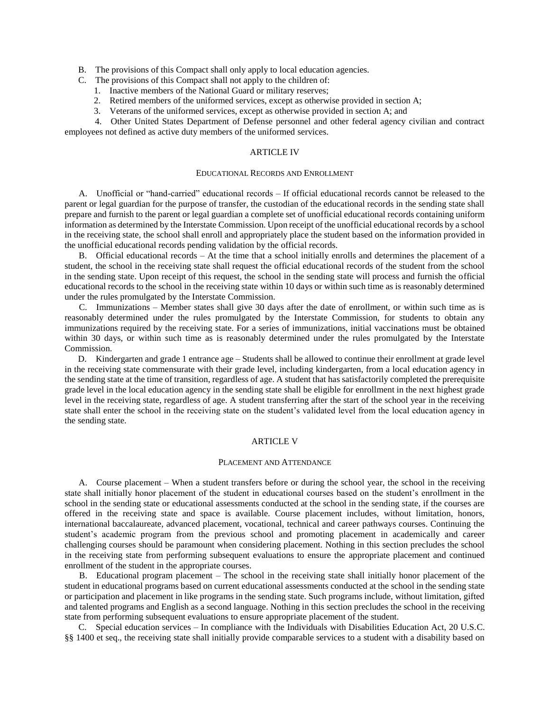B. The provisions of this Compact shall only apply to local education agencies.

- C. The provisions of this Compact shall not apply to the children of:
	- 1. Inactive members of the National Guard or military reserves;
	- 2. Retired members of the uniformed services, except as otherwise provided in section A;
	- 3. Veterans of the uniformed services, except as otherwise provided in section A; and

 4. Other United States Department of Defense personnel and other federal agency civilian and contract employees not defined as active duty members of the uniformed services.

# ARTICLE IV

### EDUCATIONAL RECORDS AND ENROLLMENT

 A. Unofficial or "hand-carried" educational records – If official educational records cannot be released to the parent or legal guardian for the purpose of transfer, the custodian of the educational records in the sending state shall prepare and furnish to the parent or legal guardian a complete set of unofficial educational records containing uniform information as determined by the Interstate Commission. Upon receipt of the unofficial educational records by a school in the receiving state, the school shall enroll and appropriately place the student based on the information provided in the unofficial educational records pending validation by the official records.

 B. Official educational records – At the time that a school initially enrolls and determines the placement of a student, the school in the receiving state shall request the official educational records of the student from the school in the sending state. Upon receipt of this request, the school in the sending state will process and furnish the official educational records to the school in the receiving state within 10 days or within such time as is reasonably determined under the rules promulgated by the Interstate Commission.

 C. Immunizations – Member states shall give 30 days after the date of enrollment, or within such time as is reasonably determined under the rules promulgated by the Interstate Commission, for students to obtain any immunizations required by the receiving state. For a series of immunizations, initial vaccinations must be obtained within 30 days, or within such time as is reasonably determined under the rules promulgated by the Interstate Commission.

 D. Kindergarten and grade 1 entrance age – Students shall be allowed to continue their enrollment at grade level in the receiving state commensurate with their grade level, including kindergarten, from a local education agency in the sending state at the time of transition, regardless of age. A student that has satisfactorily completed the prerequisite grade level in the local education agency in the sending state shall be eligible for enrollment in the next highest grade level in the receiving state, regardless of age. A student transferring after the start of the school year in the receiving state shall enter the school in the receiving state on the student's validated level from the local education agency in the sending state.

### ARTICLE V

### PLACEMENT AND ATTENDANCE

 A. Course placement – When a student transfers before or during the school year, the school in the receiving state shall initially honor placement of the student in educational courses based on the student's enrollment in the school in the sending state or educational assessments conducted at the school in the sending state, if the courses are offered in the receiving state and space is available. Course placement includes, without limitation, honors, international baccalaureate, advanced placement, vocational, technical and career pathways courses. Continuing the student's academic program from the previous school and promoting placement in academically and career challenging courses should be paramount when considering placement. Nothing in this section precludes the school in the receiving state from performing subsequent evaluations to ensure the appropriate placement and continued enrollment of the student in the appropriate courses.

 B. Educational program placement – The school in the receiving state shall initially honor placement of the student in educational programs based on current educational assessments conducted at the school in the sending state or participation and placement in like programs in the sending state. Such programs include, without limitation, gifted and talented programs and English as a second language. Nothing in this section precludes the school in the receiving state from performing subsequent evaluations to ensure appropriate placement of the student.

 C. Special education services – In compliance with the Individuals with Disabilities Education Act, 20 U.S.C. §§ 1400 et seq., the receiving state shall initially provide comparable services to a student with a disability based on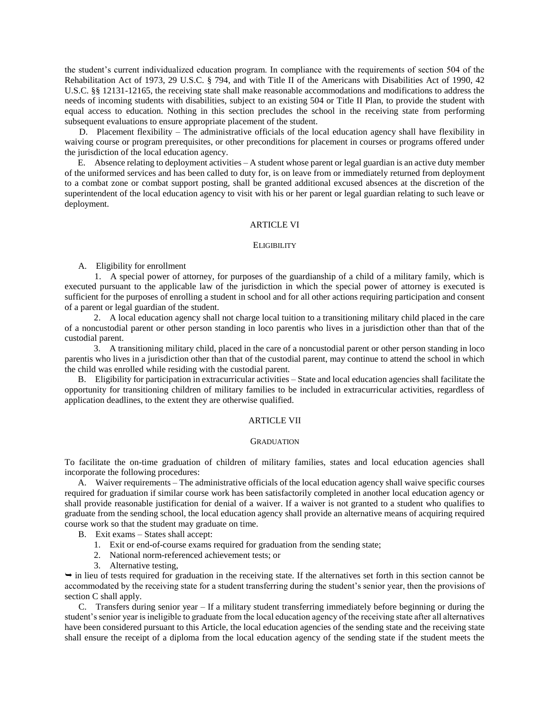the student's current individualized education program. In compliance with the requirements of section 504 of the Rehabilitation Act of 1973, 29 U.S.C. § 794, and with Title II of the Americans with Disabilities Act of 1990, 42 U.S.C. §§ 12131-12165, the receiving state shall make reasonable accommodations and modifications to address the needs of incoming students with disabilities, subject to an existing 504 or Title II Plan, to provide the student with equal access to education. Nothing in this section precludes the school in the receiving state from performing subsequent evaluations to ensure appropriate placement of the student.

 D. Placement flexibility – The administrative officials of the local education agency shall have flexibility in waiving course or program prerequisites, or other preconditions for placement in courses or programs offered under the jurisdiction of the local education agency.

 E. Absence relating to deployment activities – A student whose parent or legal guardian is an active duty member of the uniformed services and has been called to duty for, is on leave from or immediately returned from deployment to a combat zone or combat support posting, shall be granted additional excused absences at the discretion of the superintendent of the local education agency to visit with his or her parent or legal guardian relating to such leave or deployment.

## ARTICLE VI

#### **ELIGIBILITY**

A. Eligibility for enrollment

 1. A special power of attorney, for purposes of the guardianship of a child of a military family, which is executed pursuant to the applicable law of the jurisdiction in which the special power of attorney is executed is sufficient for the purposes of enrolling a student in school and for all other actions requiring participation and consent of a parent or legal guardian of the student.

 2. A local education agency shall not charge local tuition to a transitioning military child placed in the care of a noncustodial parent or other person standing in loco parentis who lives in a jurisdiction other than that of the custodial parent.

 3. A transitioning military child, placed in the care of a noncustodial parent or other person standing in loco parentis who lives in a jurisdiction other than that of the custodial parent, may continue to attend the school in which the child was enrolled while residing with the custodial parent.

 B. Eligibility for participation in extracurricular activities – State and local education agencies shall facilitate the opportunity for transitioning children of military families to be included in extracurricular activities, regardless of application deadlines, to the extent they are otherwise qualified.

# ARTICLE VII

#### **GRADUATION**

To facilitate the on-time graduation of children of military families, states and local education agencies shall incorporate the following procedures:

 A. Waiver requirements – The administrative officials of the local education agency shall waive specific courses required for graduation if similar course work has been satisfactorily completed in another local education agency or shall provide reasonable justification for denial of a waiver. If a waiver is not granted to a student who qualifies to graduate from the sending school, the local education agency shall provide an alternative means of acquiring required course work so that the student may graduate on time.

B. Exit exams – States shall accept:

- 1. Exit or end-of-course exams required for graduation from the sending state;
- 2. National norm-referenced achievement tests; or
- 3. Alternative testing,

 $\rightarrow$  in lieu of tests required for graduation in the receiving state. If the alternatives set forth in this section cannot be accommodated by the receiving state for a student transferring during the student's senior year, then the provisions of section C shall apply.

 C. Transfers during senior year – If a military student transferring immediately before beginning or during the student's senior year is ineligible to graduate from the local education agency of the receiving state after all alternatives have been considered pursuant to this Article, the local education agencies of the sending state and the receiving state shall ensure the receipt of a diploma from the local education agency of the sending state if the student meets the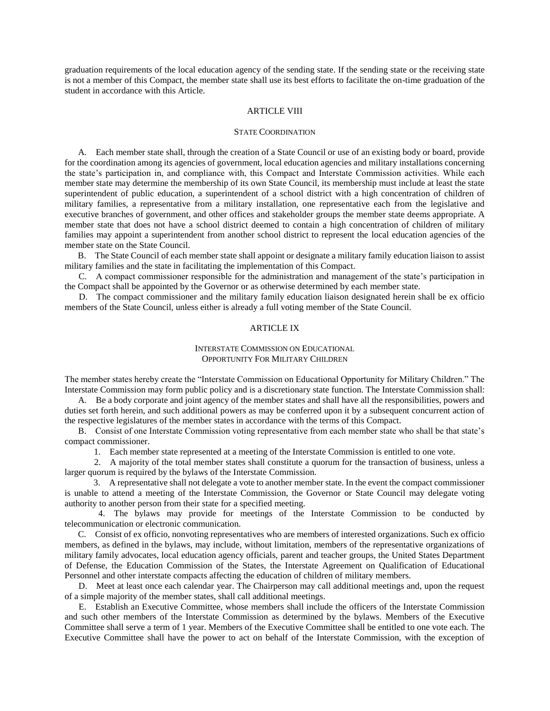graduation requirements of the local education agency of the sending state. If the sending state or the receiving state is not a member of this Compact, the member state shall use its best efforts to facilitate the on-time graduation of the student in accordance with this Article.

#### ARTICLE VIII

### STATE COORDINATION

 A. Each member state shall, through the creation of a State Council or use of an existing body or board, provide for the coordination among its agencies of government, local education agencies and military installations concerning the state's participation in, and compliance with, this Compact and Interstate Commission activities. While each member state may determine the membership of its own State Council, its membership must include at least the state superintendent of public education, a superintendent of a school district with a high concentration of children of military families, a representative from a military installation, one representative each from the legislative and executive branches of government, and other offices and stakeholder groups the member state deems appropriate. A member state that does not have a school district deemed to contain a high concentration of children of military families may appoint a superintendent from another school district to represent the local education agencies of the member state on the State Council.

 B. The State Council of each member state shall appoint or designate a military family education liaison to assist military families and the state in facilitating the implementation of this Compact.

 C. A compact commissioner responsible for the administration and management of the state's participation in the Compact shall be appointed by the Governor or as otherwise determined by each member state.

 D. The compact commissioner and the military family education liaison designated herein shall be ex officio members of the State Council, unless either is already a full voting member of the State Council.

# ARTICLE IX

# INTERSTATE COMMISSION ON EDUCATIONAL OPPORTUNITY FOR MILITARY CHILDREN

The member states hereby create the "Interstate Commission on Educational Opportunity for Military Children." The Interstate Commission may form public policy and is a discretionary state function. The Interstate Commission shall:

 A. Be a body corporate and joint agency of the member states and shall have all the responsibilities, powers and duties set forth herein, and such additional powers as may be conferred upon it by a subsequent concurrent action of the respective legislatures of the member states in accordance with the terms of this Compact.

 B. Consist of one Interstate Commission voting representative from each member state who shall be that state's compact commissioner.

1. Each member state represented at a meeting of the Interstate Commission is entitled to one vote.

 2. A majority of the total member states shall constitute a quorum for the transaction of business, unless a larger quorum is required by the bylaws of the Interstate Commission.

 3. A representative shall not delegate a vote to another member state. In the event the compact commissioner is unable to attend a meeting of the Interstate Commission, the Governor or State Council may delegate voting authority to another person from their state for a specified meeting.

 4. The bylaws may provide for meetings of the Interstate Commission to be conducted by telecommunication or electronic communication.

 C. Consist of ex officio, nonvoting representatives who are members of interested organizations. Such ex officio members, as defined in the bylaws, may include, without limitation, members of the representative organizations of military family advocates, local education agency officials, parent and teacher groups, the United States Department of Defense, the Education Commission of the States, the Interstate Agreement on Qualification of Educational Personnel and other interstate compacts affecting the education of children of military members.

 D. Meet at least once each calendar year. The Chairperson may call additional meetings and, upon the request of a simple majority of the member states, shall call additional meetings.

 E. Establish an Executive Committee, whose members shall include the officers of the Interstate Commission and such other members of the Interstate Commission as determined by the bylaws. Members of the Executive Committee shall serve a term of 1 year. Members of the Executive Committee shall be entitled to one vote each. The Executive Committee shall have the power to act on behalf of the Interstate Commission, with the exception of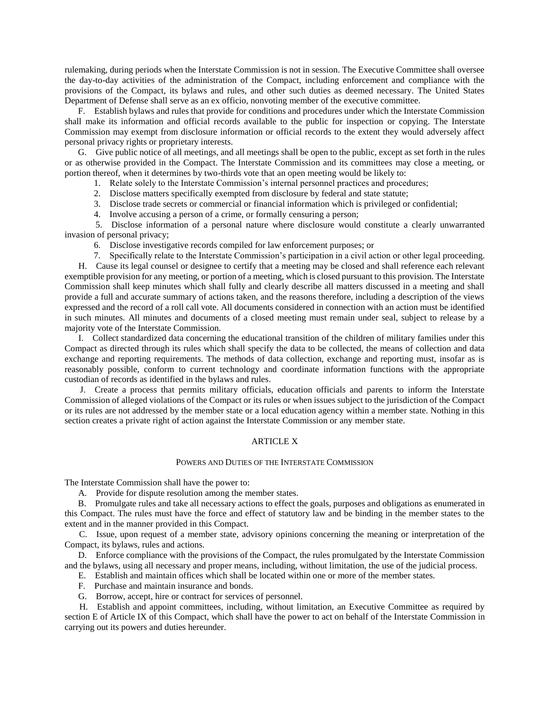rulemaking, during periods when the Interstate Commission is not in session. The Executive Committee shall oversee the day-to-day activities of the administration of the Compact, including enforcement and compliance with the provisions of the Compact, its bylaws and rules, and other such duties as deemed necessary. The United States Department of Defense shall serve as an ex officio, nonvoting member of the executive committee.

 F. Establish bylaws and rules that provide for conditions and procedures under which the Interstate Commission shall make its information and official records available to the public for inspection or copying. The Interstate Commission may exempt from disclosure information or official records to the extent they would adversely affect personal privacy rights or proprietary interests.

 G. Give public notice of all meetings, and all meetings shall be open to the public, except as set forth in the rules or as otherwise provided in the Compact. The Interstate Commission and its committees may close a meeting, or portion thereof, when it determines by two-thirds vote that an open meeting would be likely to:

1. Relate solely to the Interstate Commission's internal personnel practices and procedures;

- 2. Disclose matters specifically exempted from disclosure by federal and state statute;
- 3. Disclose trade secrets or commercial or financial information which is privileged or confidential;
- 4. Involve accusing a person of a crime, or formally censuring a person;

 5. Disclose information of a personal nature where disclosure would constitute a clearly unwarranted invasion of personal privacy;

6. Disclose investigative records compiled for law enforcement purposes; or

 7. Specifically relate to the Interstate Commission's participation in a civil action or other legal proceeding. H. Cause its legal counsel or designee to certify that a meeting may be closed and shall reference each relevant exemptible provision for any meeting, or portion of a meeting, which is closed pursuant to this provision. The Interstate Commission shall keep minutes which shall fully and clearly describe all matters discussed in a meeting and shall provide a full and accurate summary of actions taken, and the reasons therefore, including a description of the views expressed and the record of a roll call vote. All documents considered in connection with an action must be identified in such minutes. All minutes and documents of a closed meeting must remain under seal, subject to release by a majority vote of the Interstate Commission.

 I. Collect standardized data concerning the educational transition of the children of military families under this Compact as directed through its rules which shall specify the data to be collected, the means of collection and data exchange and reporting requirements. The methods of data collection, exchange and reporting must, insofar as is reasonably possible, conform to current technology and coordinate information functions with the appropriate custodian of records as identified in the bylaws and rules.

 J. Create a process that permits military officials, education officials and parents to inform the Interstate Commission of alleged violations of the Compact or its rules or when issues subject to the jurisdiction of the Compact or its rules are not addressed by the member state or a local education agency within a member state. Nothing in this section creates a private right of action against the Interstate Commission or any member state.

### ARTICLE X

### POWERS AND DUTIES OF THE INTERSTATE COMMISSION

The Interstate Commission shall have the power to:

A. Provide for dispute resolution among the member states.

 B. Promulgate rules and take all necessary actions to effect the goals, purposes and obligations as enumerated in this Compact. The rules must have the force and effect of statutory law and be binding in the member states to the extent and in the manner provided in this Compact.

 C. Issue, upon request of a member state, advisory opinions concerning the meaning or interpretation of the Compact, its bylaws, rules and actions.

 D. Enforce compliance with the provisions of the Compact, the rules promulgated by the Interstate Commission and the bylaws, using all necessary and proper means, including, without limitation, the use of the judicial process.

E. Establish and maintain offices which shall be located within one or more of the member states.

- F. Purchase and maintain insurance and bonds.
- G. Borrow, accept, hire or contract for services of personnel.

 H. Establish and appoint committees, including, without limitation, an Executive Committee as required by section E of Article IX of this Compact, which shall have the power to act on behalf of the Interstate Commission in carrying out its powers and duties hereunder.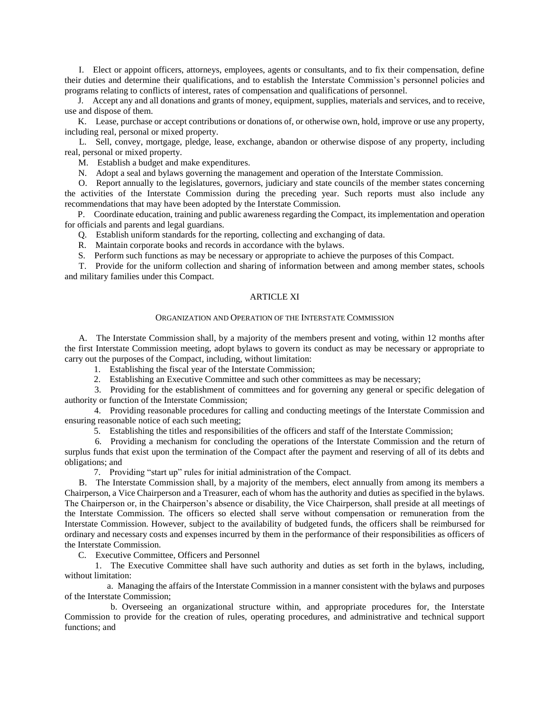I. Elect or appoint officers, attorneys, employees, agents or consultants, and to fix their compensation, define their duties and determine their qualifications, and to establish the Interstate Commission's personnel policies and programs relating to conflicts of interest, rates of compensation and qualifications of personnel.

 J. Accept any and all donations and grants of money, equipment, supplies, materials and services, and to receive, use and dispose of them.

 K. Lease, purchase or accept contributions or donations of, or otherwise own, hold, improve or use any property, including real, personal or mixed property.

 L. Sell, convey, mortgage, pledge, lease, exchange, abandon or otherwise dispose of any property, including real, personal or mixed property.

M. Establish a budget and make expenditures.

N. Adopt a seal and bylaws governing the management and operation of the Interstate Commission.

 O. Report annually to the legislatures, governors, judiciary and state councils of the member states concerning the activities of the Interstate Commission during the preceding year. Such reports must also include any recommendations that may have been adopted by the Interstate Commission.

 P. Coordinate education, training and public awareness regarding the Compact, its implementation and operation for officials and parents and legal guardians.

Q. Establish uniform standards for the reporting, collecting and exchanging of data.

R. Maintain corporate books and records in accordance with the bylaws.

S. Perform such functions as may be necessary or appropriate to achieve the purposes of this Compact.

 T. Provide for the uniform collection and sharing of information between and among member states, schools and military families under this Compact.

# ARTICLE XI

### ORGANIZATION AND OPERATION OF THE INTERSTATE COMMISSION

 A. The Interstate Commission shall, by a majority of the members present and voting, within 12 months after the first Interstate Commission meeting, adopt bylaws to govern its conduct as may be necessary or appropriate to carry out the purposes of the Compact, including, without limitation:

1. Establishing the fiscal year of the Interstate Commission;

2. Establishing an Executive Committee and such other committees as may be necessary;

 3. Providing for the establishment of committees and for governing any general or specific delegation of authority or function of the Interstate Commission;

 4. Providing reasonable procedures for calling and conducting meetings of the Interstate Commission and ensuring reasonable notice of each such meeting;

5. Establishing the titles and responsibilities of the officers and staff of the Interstate Commission;

 6. Providing a mechanism for concluding the operations of the Interstate Commission and the return of surplus funds that exist upon the termination of the Compact after the payment and reserving of all of its debts and obligations; and

7. Providing "start up" rules for initial administration of the Compact.

 B. The Interstate Commission shall, by a majority of the members, elect annually from among its members a Chairperson, a Vice Chairperson and a Treasurer, each of whom has the authority and duties as specified in the bylaws. The Chairperson or, in the Chairperson's absence or disability, the Vice Chairperson, shall preside at all meetings of the Interstate Commission. The officers so elected shall serve without compensation or remuneration from the Interstate Commission. However, subject to the availability of budgeted funds, the officers shall be reimbursed for ordinary and necessary costs and expenses incurred by them in the performance of their responsibilities as officers of the Interstate Commission.

C. Executive Committee, Officers and Personnel

 1. The Executive Committee shall have such authority and duties as set forth in the bylaws, including, without limitation:

 a. Managing the affairs of the Interstate Commission in a manner consistent with the bylaws and purposes of the Interstate Commission;

 b. Overseeing an organizational structure within, and appropriate procedures for, the Interstate Commission to provide for the creation of rules, operating procedures, and administrative and technical support functions; and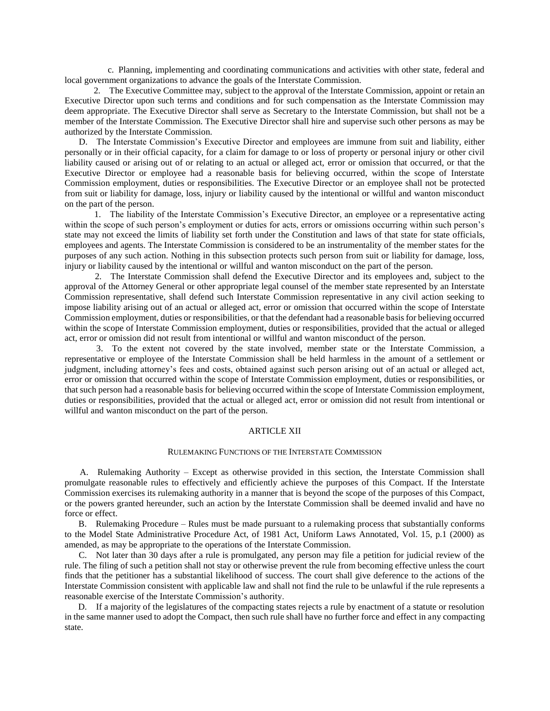c. Planning, implementing and coordinating communications and activities with other state, federal and local government organizations to advance the goals of the Interstate Commission.

 2. The Executive Committee may, subject to the approval of the Interstate Commission, appoint or retain an Executive Director upon such terms and conditions and for such compensation as the Interstate Commission may deem appropriate. The Executive Director shall serve as Secretary to the Interstate Commission, but shall not be a member of the Interstate Commission. The Executive Director shall hire and supervise such other persons as may be authorized by the Interstate Commission.

 D. The Interstate Commission's Executive Director and employees are immune from suit and liability, either personally or in their official capacity, for a claim for damage to or loss of property or personal injury or other civil liability caused or arising out of or relating to an actual or alleged act, error or omission that occurred, or that the Executive Director or employee had a reasonable basis for believing occurred, within the scope of Interstate Commission employment, duties or responsibilities. The Executive Director or an employee shall not be protected from suit or liability for damage, loss, injury or liability caused by the intentional or willful and wanton misconduct on the part of the person.

 1. The liability of the Interstate Commission's Executive Director, an employee or a representative acting within the scope of such person's employment or duties for acts, errors or omissions occurring within such person's state may not exceed the limits of liability set forth under the Constitution and laws of that state for state officials, employees and agents. The Interstate Commission is considered to be an instrumentality of the member states for the purposes of any such action. Nothing in this subsection protects such person from suit or liability for damage, loss, injury or liability caused by the intentional or willful and wanton misconduct on the part of the person.

 2. The Interstate Commission shall defend the Executive Director and its employees and, subject to the approval of the Attorney General or other appropriate legal counsel of the member state represented by an Interstate Commission representative, shall defend such Interstate Commission representative in any civil action seeking to impose liability arising out of an actual or alleged act, error or omission that occurred within the scope of Interstate Commission employment, duties or responsibilities, or that the defendant had a reasonable basis for believing occurred within the scope of Interstate Commission employment, duties or responsibilities, provided that the actual or alleged act, error or omission did not result from intentional or willful and wanton misconduct of the person.

 3. To the extent not covered by the state involved, member state or the Interstate Commission, a representative or employee of the Interstate Commission shall be held harmless in the amount of a settlement or judgment, including attorney's fees and costs, obtained against such person arising out of an actual or alleged act, error or omission that occurred within the scope of Interstate Commission employment, duties or responsibilities, or that such person had a reasonable basis for believing occurred within the scope of Interstate Commission employment, duties or responsibilities, provided that the actual or alleged act, error or omission did not result from intentional or willful and wanton misconduct on the part of the person.

#### ARTICLE XII

### RULEMAKING FUNCTIONS OF THE INTERSTATE COMMISSION

 A. Rulemaking Authority – Except as otherwise provided in this section, the Interstate Commission shall promulgate reasonable rules to effectively and efficiently achieve the purposes of this Compact. If the Interstate Commission exercises its rulemaking authority in a manner that is beyond the scope of the purposes of this Compact, or the powers granted hereunder, such an action by the Interstate Commission shall be deemed invalid and have no force or effect.

 B. Rulemaking Procedure – Rules must be made pursuant to a rulemaking process that substantially conforms to the Model State Administrative Procedure Act, of 1981 Act, Uniform Laws Annotated, Vol. 15, p.1 (2000) as amended, as may be appropriate to the operations of the Interstate Commission.

 C. Not later than 30 days after a rule is promulgated, any person may file a petition for judicial review of the rule. The filing of such a petition shall not stay or otherwise prevent the rule from becoming effective unless the court finds that the petitioner has a substantial likelihood of success. The court shall give deference to the actions of the Interstate Commission consistent with applicable law and shall not find the rule to be unlawful if the rule represents a reasonable exercise of the Interstate Commission's authority.

 D. If a majority of the legislatures of the compacting states rejects a rule by enactment of a statute or resolution in the same manner used to adopt the Compact, then such rule shall have no further force and effect in any compacting state.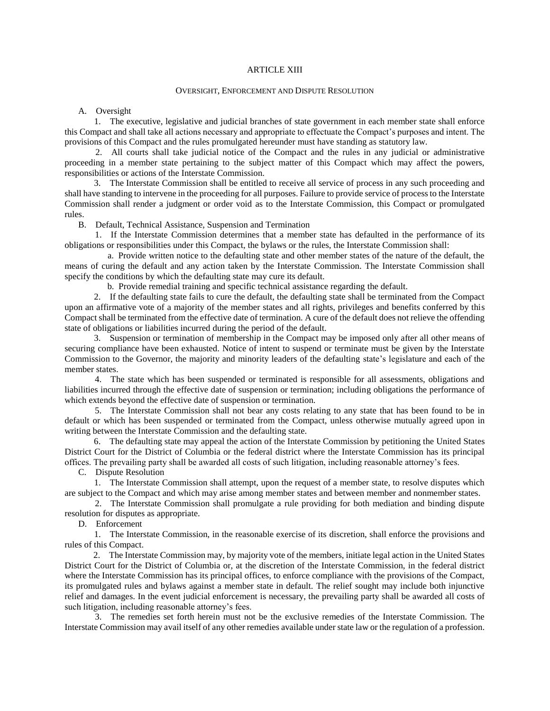# ARTICLE XIII

### OVERSIGHT, ENFORCEMENT AND DISPUTE RESOLUTION

A. Oversight

 1. The executive, legislative and judicial branches of state government in each member state shall enforce this Compact and shall take all actions necessary and appropriate to effectuate the Compact's purposes and intent. The provisions of this Compact and the rules promulgated hereunder must have standing as statutory law.

 2. All courts shall take judicial notice of the Compact and the rules in any judicial or administrative proceeding in a member state pertaining to the subject matter of this Compact which may affect the powers, responsibilities or actions of the Interstate Commission.

 3. The Interstate Commission shall be entitled to receive all service of process in any such proceeding and shall have standing to intervene in the proceeding for all purposes. Failure to provide service of process to the Interstate Commission shall render a judgment or order void as to the Interstate Commission, this Compact or promulgated rules.

B. Default, Technical Assistance, Suspension and Termination

 1. If the Interstate Commission determines that a member state has defaulted in the performance of its obligations or responsibilities under this Compact, the bylaws or the rules, the Interstate Commission shall:

 a. Provide written notice to the defaulting state and other member states of the nature of the default, the means of curing the default and any action taken by the Interstate Commission. The Interstate Commission shall specify the conditions by which the defaulting state may cure its default.

b. Provide remedial training and specific technical assistance regarding the default.

 2. If the defaulting state fails to cure the default, the defaulting state shall be terminated from the Compact upon an affirmative vote of a majority of the member states and all rights, privileges and benefits conferred by this Compact shall be terminated from the effective date of termination. A cure of the default does not relieve the offending state of obligations or liabilities incurred during the period of the default.

 3. Suspension or termination of membership in the Compact may be imposed only after all other means of securing compliance have been exhausted. Notice of intent to suspend or terminate must be given by the Interstate Commission to the Governor, the majority and minority leaders of the defaulting state's legislature and each of the member states.

 4. The state which has been suspended or terminated is responsible for all assessments, obligations and liabilities incurred through the effective date of suspension or termination; including obligations the performance of which extends beyond the effective date of suspension or termination.

 5. The Interstate Commission shall not bear any costs relating to any state that has been found to be in default or which has been suspended or terminated from the Compact, unless otherwise mutually agreed upon in writing between the Interstate Commission and the defaulting state.

 6. The defaulting state may appeal the action of the Interstate Commission by petitioning the United States District Court for the District of Columbia or the federal district where the Interstate Commission has its principal offices. The prevailing party shall be awarded all costs of such litigation, including reasonable attorney's fees.

C. Dispute Resolution

 1. The Interstate Commission shall attempt, upon the request of a member state, to resolve disputes which are subject to the Compact and which may arise among member states and between member and nonmember states.

 2. The Interstate Commission shall promulgate a rule providing for both mediation and binding dispute resolution for disputes as appropriate.

D. Enforcement

 1. The Interstate Commission, in the reasonable exercise of its discretion, shall enforce the provisions and rules of this Compact.

 2. The Interstate Commission may, by majority vote of the members, initiate legal action in the United States District Court for the District of Columbia or, at the discretion of the Interstate Commission, in the federal district where the Interstate Commission has its principal offices, to enforce compliance with the provisions of the Compact, its promulgated rules and bylaws against a member state in default. The relief sought may include both injunctive relief and damages. In the event judicial enforcement is necessary, the prevailing party shall be awarded all costs of such litigation, including reasonable attorney's fees.

 3. The remedies set forth herein must not be the exclusive remedies of the Interstate Commission. The Interstate Commission may avail itself of any other remedies available under state law or the regulation of a profession.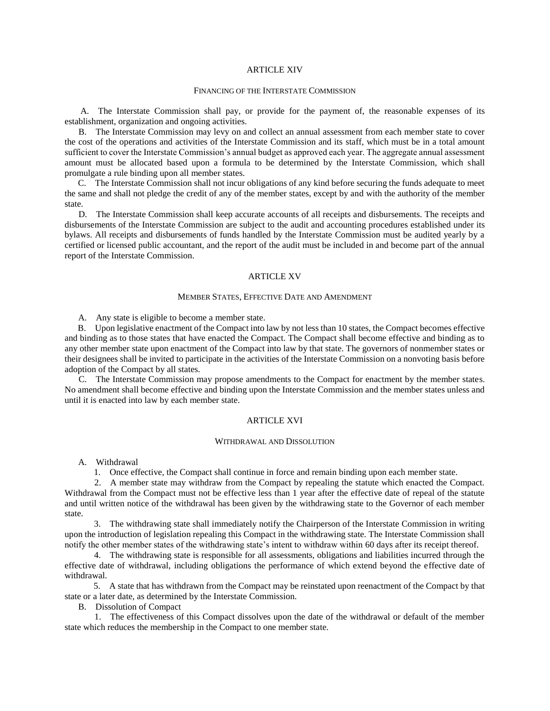# ARTICLE XIV

#### FINANCING OF THE INTERSTATE COMMISSION

 A. The Interstate Commission shall pay, or provide for the payment of, the reasonable expenses of its establishment, organization and ongoing activities.

 B. The Interstate Commission may levy on and collect an annual assessment from each member state to cover the cost of the operations and activities of the Interstate Commission and its staff, which must be in a total amount sufficient to cover the Interstate Commission's annual budget as approved each year. The aggregate annual assessment amount must be allocated based upon a formula to be determined by the Interstate Commission, which shall promulgate a rule binding upon all member states.

 C. The Interstate Commission shall not incur obligations of any kind before securing the funds adequate to meet the same and shall not pledge the credit of any of the member states, except by and with the authority of the member state.

 D. The Interstate Commission shall keep accurate accounts of all receipts and disbursements. The receipts and disbursements of the Interstate Commission are subject to the audit and accounting procedures established under its bylaws. All receipts and disbursements of funds handled by the Interstate Commission must be audited yearly by a certified or licensed public accountant, and the report of the audit must be included in and become part of the annual report of the Interstate Commission.

### ARTICLE XV

# MEMBER STATES, EFFECTIVE DATE AND AMENDMENT

A. Any state is eligible to become a member state.

 B. Upon legislative enactment of the Compact into law by not less than 10 states, the Compact becomes effective and binding as to those states that have enacted the Compact. The Compact shall become effective and binding as to any other member state upon enactment of the Compact into law by that state. The governors of nonmember states or their designees shall be invited to participate in the activities of the Interstate Commission on a nonvoting basis before adoption of the Compact by all states.

 C. The Interstate Commission may propose amendments to the Compact for enactment by the member states. No amendment shall become effective and binding upon the Interstate Commission and the member states unless and until it is enacted into law by each member state.

# ARTICLE XVI

#### WITHDRAWAL AND DISSOLUTION

A. Withdrawal

1. Once effective, the Compact shall continue in force and remain binding upon each member state.

 2. A member state may withdraw from the Compact by repealing the statute which enacted the Compact. Withdrawal from the Compact must not be effective less than 1 year after the effective date of repeal of the statute and until written notice of the withdrawal has been given by the withdrawing state to the Governor of each member state.

 3. The withdrawing state shall immediately notify the Chairperson of the Interstate Commission in writing upon the introduction of legislation repealing this Compact in the withdrawing state. The Interstate Commission shall notify the other member states of the withdrawing state's intent to withdraw within 60 days after its receipt thereof.

 4. The withdrawing state is responsible for all assessments, obligations and liabilities incurred through the effective date of withdrawal, including obligations the performance of which extend beyond the effective date of withdrawal.

 5. A state that has withdrawn from the Compact may be reinstated upon reenactment of the Compact by that state or a later date, as determined by the Interstate Commission.

B. Dissolution of Compact

 1. The effectiveness of this Compact dissolves upon the date of the withdrawal or default of the member state which reduces the membership in the Compact to one member state.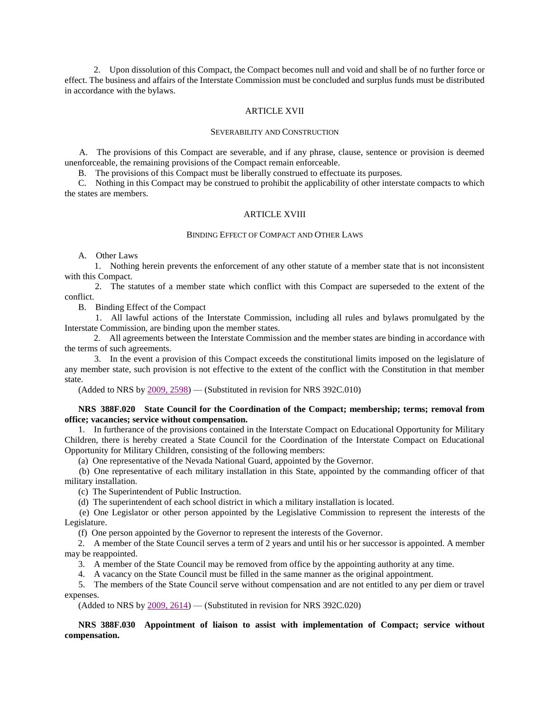2. Upon dissolution of this Compact, the Compact becomes null and void and shall be of no further force or effect. The business and affairs of the Interstate Commission must be concluded and surplus funds must be distributed in accordance with the bylaws.

### ARTICLE XVII

### SEVERABILITY AND CONSTRUCTION

 A. The provisions of this Compact are severable, and if any phrase, clause, sentence or provision is deemed unenforceable, the remaining provisions of the Compact remain enforceable.

B. The provisions of this Compact must be liberally construed to effectuate its purposes.

 C. Nothing in this Compact may be construed to prohibit the applicability of other interstate compacts to which the states are members.

## ARTICLE XVIII

### BINDING EFFECT OF COMPACT AND OTHER LAWS

A. Other Laws

 1. Nothing herein prevents the enforcement of any other statute of a member state that is not inconsistent with this Compact.

 2. The statutes of a member state which conflict with this Compact are superseded to the extent of the conflict.

B. Binding Effect of the Compact

 1. All lawful actions of the Interstate Commission, including all rules and bylaws promulgated by the Interstate Commission, are binding upon the member states.

 2. All agreements between the Interstate Commission and the member states are binding in accordance with the terms of such agreements.

 3. In the event a provision of this Compact exceeds the constitutional limits imposed on the legislature of any member state, such provision is not effective to the extent of the conflict with the Constitution in that member state.

(Added to NRS by  $2009, 2598$ ) — (Substituted in revision for NRS 392C.010)

# **NRS 388F.020 State Council for the Coordination of the Compact; membership; terms; removal from office; vacancies; service without compensation.**

 1. In furtherance of the provisions contained in the Interstate Compact on Educational Opportunity for Military Children, there is hereby created a State Council for the Coordination of the Interstate Compact on Educational Opportunity for Military Children, consisting of the following members:

(a) One representative of the Nevada National Guard, appointed by the Governor.

 (b) One representative of each military installation in this State, appointed by the commanding officer of that military installation.

(c) The Superintendent of Public Instruction.

(d) The superintendent of each school district in which a military installation is located.

 (e) One Legislator or other person appointed by the Legislative Commission to represent the interests of the Legislature.

(f) One person appointed by the Governor to represent the interests of the Governor.

 2. A member of the State Council serves a term of 2 years and until his or her successor is appointed. A member may be reappointed.

3. A member of the State Council may be removed from office by the appointing authority at any time.

4. A vacancy on the State Council must be filled in the same manner as the original appointment.

 5. The members of the State Council serve without compensation and are not entitled to any per diem or travel expenses.

(Added to NRS by  $2009, 2614$ ) — (Substituted in revision for NRS 392C.020)

# **NRS 388F.030 Appointment of liaison to assist with implementation of Compact; service without compensation.**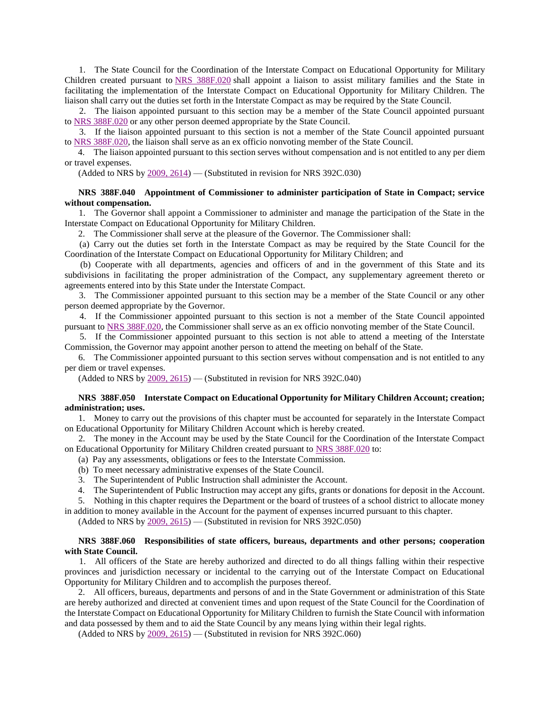1. The State Council for the Coordination of the Interstate Compact on Educational Opportunity for Military Children created pursuant to [NRS 388F.020](http://www.leg.state.nv.us/Division/Legal/LawLibrary/NRS/NRS-388F.html#NRS388FSec020) shall appoint a liaison to assist military families and the State in facilitating the implementation of the Interstate Compact on Educational Opportunity for Military Children. The liaison shall carry out the duties set forth in the Interstate Compact as may be required by the State Council.

 2. The liaison appointed pursuant to this section may be a member of the State Council appointed pursuant to [NRS 388F.020](http://www.leg.state.nv.us/Division/Legal/LawLibrary/NRS/NRS-388F.html#NRS388FSec020) or any other person deemed appropriate by the State Council.

 3. If the liaison appointed pursuant to this section is not a member of the State Council appointed pursuant to [NRS 388F.020,](http://www.leg.state.nv.us/Division/Legal/LawLibrary/NRS/NRS-388F.html#NRS388FSec020) the liaison shall serve as an ex officio nonvoting member of the State Council.

 4. The liaison appointed pursuant to this section serves without compensation and is not entitled to any per diem or travel expenses.

(Added to NRS by  $2009, 2614$ ) — (Substituted in revision for NRS 392C.030)

# **NRS 388F.040 Appointment of Commissioner to administer participation of State in Compact; service without compensation.**

 1. The Governor shall appoint a Commissioner to administer and manage the participation of the State in the Interstate Compact on Educational Opportunity for Military Children.

2. The Commissioner shall serve at the pleasure of the Governor. The Commissioner shall:

 (a) Carry out the duties set forth in the Interstate Compact as may be required by the State Council for the Coordination of the Interstate Compact on Educational Opportunity for Military Children; and

 (b) Cooperate with all departments, agencies and officers of and in the government of this State and its subdivisions in facilitating the proper administration of the Compact, any supplementary agreement thereto or agreements entered into by this State under the Interstate Compact.

 3. The Commissioner appointed pursuant to this section may be a member of the State Council or any other person deemed appropriate by the Governor.

 4. If the Commissioner appointed pursuant to this section is not a member of the State Council appointed pursuant to [NRS 388F.020,](http://www.leg.state.nv.us/Division/Legal/LawLibrary/NRS/NRS-388F.html#NRS388FSec020) the Commissioner shall serve as an ex officio nonvoting member of the State Council.

 5. If the Commissioner appointed pursuant to this section is not able to attend a meeting of the Interstate Commission, the Governor may appoint another person to attend the meeting on behalf of the State.

 6. The Commissioner appointed pursuant to this section serves without compensation and is not entitled to any per diem or travel expenses.

(Added to NRS by  $2009, 2615$ ) — (Substituted in revision for NRS 392C.040)

### **NRS 388F.050 Interstate Compact on Educational Opportunity for Military Children Account; creation; administration; uses.**

 1. Money to carry out the provisions of this chapter must be accounted for separately in the Interstate Compact on Educational Opportunity for Military Children Account which is hereby created.

 2. The money in the Account may be used by the State Council for the Coordination of the Interstate Compact on Educational Opportunity for Military Children created pursuant to [NRS 388F.020](http://www.leg.state.nv.us/Division/Legal/LawLibrary/NRS/NRS-388F.html#NRS388FSec020) to:

(a) Pay any assessments, obligations or fees to the Interstate Commission.

- (b) To meet necessary administrative expenses of the State Council.
- 3. The Superintendent of Public Instruction shall administer the Account.
- 4. The Superintendent of Public Instruction may accept any gifts, grants or donations for deposit in the Account.

 5. Nothing in this chapter requires the Department or the board of trustees of a school district to allocate money in addition to money available in the Account for the payment of expenses incurred pursuant to this chapter.

(Added to NRS by  $2009, 2615$ ) — (Substituted in revision for NRS 392C.050)

### **NRS 388F.060 Responsibilities of state officers, bureaus, departments and other persons; cooperation with State Council.**

 1. All officers of the State are hereby authorized and directed to do all things falling within their respective provinces and jurisdiction necessary or incidental to the carrying out of the Interstate Compact on Educational Opportunity for Military Children and to accomplish the purposes thereof.

 2. All officers, bureaus, departments and persons of and in the State Government or administration of this State are hereby authorized and directed at convenient times and upon request of the State Council for the Coordination of the Interstate Compact on Educational Opportunity for Military Children to furnish the State Council with information and data possessed by them and to aid the State Council by any means lying within their legal rights.

(Added to NRS by [2009, 2615\)](http://www.leg.state.nv.us/Division/Legal/LawLibrary/Statutes/75th2009/Stats200926.html#Stats200926page2615) — (Substituted in revision for NRS 392C.060)